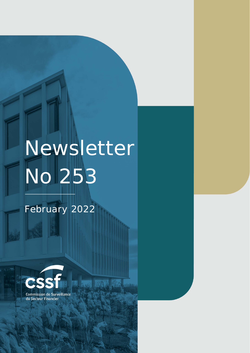# Newsletter No 253

矋

Commission de Surveillance du NEWSLETTER NO 252 JANUARY **2022** Section Financier Financier page 1998 – 1999 – 1999 – 1999 – 1999 – 1999 – 1999 – 1999 – 1999 – 1999 – 1999 – 1

February 2022

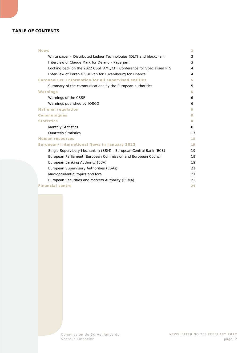#### **TABLE OF CONTENTS**

| <b>News</b>                                                          | 3  |
|----------------------------------------------------------------------|----|
| White paper – Distributed Ledger Technologies (DLT) and blockchain   | 3  |
| Interview of Claude Marx for Delano - Paperjam                       | 3  |
| Looking back on the 2022 CSSF AML/CFT Conference for Specialised PFS | 4  |
| Interview of Karen O'Sullivan for Luxembourg for Finance             | 4  |
| Coronavirus: Information for all supervised entities                 | 5  |
| Summary of the communications by the European authorities            | 5  |
| Warnings                                                             | 6  |
| Warnings of the CSSF                                                 | 6  |
| Warnings published by IOSCO                                          | 6  |
| <b>National regulation</b>                                           | 6. |
| Communiqués                                                          | 8  |
| <b>Statistics</b>                                                    | 8  |
| <b>Monthly Statistics</b>                                            | 8  |
| <b>Quarterly Statistics</b>                                          | 17 |
| <b>Human resources</b>                                               | 18 |
| European/International News in January 2022                          | 19 |
| Single Supervisory Mechanism (SSM) - European Central Bank (ECB)     | 19 |
| European Parliament, European Commission and European Council        | 19 |
| European Banking Authority (EBA)                                     | 19 |
| European Supervisory Authorities (ESAs)                              | 21 |
| Macroprudential topics and fora                                      | 21 |
| European Securities and Markets Authority (ESMA)                     | 22 |
| <b>Financial centre</b>                                              | 24 |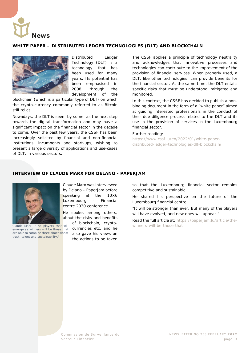<span id="page-2-0"></span>

#### <span id="page-2-1"></span>**WHITE PAPER – DISTRIBUTED LEDGER TECHNOLOGIES (DLT) AND BLOCKCHAIN**



Distributed Ledger Technology (DLT) is a technology that has been used for many years. Its potential has been emphasised in 2008, through the development of the

blockchain (which is a particular type of DLT) on which the crypto-currency commonly referred to as Bitcoin still relies.

Nowadays, the DLT is seen, by some, as the next step towards the digital transformation and may have a significant impact on the financial sector in the decade to come. Over the past few years, the CSSF has been increasingly solicited by financial and non-financial institutions, incumbents and start-ups, wishing to present a large diversity of applications and use-cases of DLT, in various sectors.

The CSSF applies a principle of technology neutrality and acknowledges that innovative processes and technologies can contribute to the improvement of the provision of financial services. When properly used, a DLT, like other technologies, can provide benefits for the financial sector. At the same time, the DLT entails specific risks that must be understood, mitigated and monitored.

In this context, the CSSF has decided to publish a nonbinding document in the form of a "white paper" aimed at guiding interested professionals in the conduct of their due diligence process related to the DLT and its use in the provision of services in the Luxembourg financial sector.

#### Further reading:

[https://www.cssf.lu/en/2022/01/white-paper](https://www.cssf.lu/en/2022/01/white-paper-distributed-ledger-technologies-dlt-blockchain/)[distributed-ledger-technologies-dlt-blockchain/](https://www.cssf.lu/en/2022/01/white-paper-distributed-ledger-technologies-dlt-blockchain/)

#### <span id="page-2-2"></span>**INTERVIEW OF CLAUDE MARX FOR DELANO - PAPERJAM**



*emerge as winners will be those that are able to combine three dimensions: trust, talent and sustainability."*

Claude Marx was interviewed by Delano – Paperjam before speaking at the 10×6 Luxembourg - Financial centre 2030 conference.

He spoke, among others, about the risks and benefits

> of blockchain, cryptocurrencies etc. and he also gave his views on the actions to be taken

so that the Luxembourg financial sector remains competitive and sustainable.

He shared his perspective on the future of the Luxembourg financial centre:

"It will be stronger than ever. But many of the players will have evolved, and new ones will appear."

Read the full article at: [https://paperjam.lu/article/the-](https://paperjam.lu/article/the-winners-will-be-those-that)*Claude Marx: "The players that will* [winners-will-be-those-that](https://paperjam.lu/article/the-winners-will-be-those-that)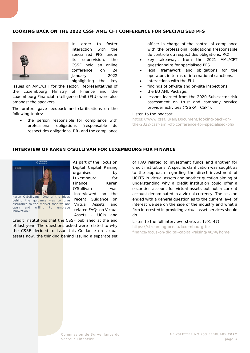#### <span id="page-3-0"></span>**LOOKING BACK ON THE 2022 CSSF AML/CFT CONFERENCE FOR SPECIALISED PFS**



In order to foster interaction with the specialised PFS under its supervision, the CSSF held an online conference on 24 January 2022 highlighting the key

issues on AML/CFT for the sector. Representatives of the Luxembourg Ministry of Finance and the Luxembourg Financial Intelligence Unit (FIU) were also amongst the speakers.

The orators gave feedback and clarifications on the following topics:

• the person responsible for compliance with professional obligations (*responsable du respect des obligations*, RR) and the compliance

officer in charge of the control of compliance with the professional obligations (*responsable du contrôle du respect des obligations*, RC)

- key takeaways from the 2021 AML/CFT questionnaire for specialised PFS.
- legal framework and obligations for the operators in terms of international sanctions.
- interactions with the FIU.
- findings of off-site and on-site inspections.
- the EU AML Package.
- lessons learned from the 2020 Sub-sector risk assessment on trust and company service provider activities ("SSRA TCSP").

#### Listen to the podcast:

[https://www.cssf.lu/en/Document/looking-back-on](https://www.cssf.lu/en/Document/looking-back-on-the-2022-cssf-aml-cft-conference-for-specialised-pfs/)[the-2022-cssf-aml-cft-conference-for-specialised-pfs/](https://www.cssf.lu/en/Document/looking-back-on-the-2022-cssf-aml-cft-conference-for-specialised-pfs/)

#### <span id="page-3-1"></span>**INTERVIEW OF KAREN O'SULLIVAN FOR LUXEMBOURG FOR FINANCE**



*behind the guidance was to give assurance to the market that we are open and willing to embrace innovation."*

As part of the Focus on Digital Capital Raising organised by Luxembourg for Finance, Karen O'Sullivan was interviewed on the recent Guidance on Virtual Assets and related FAQs on Virtual Assets – UCIs and

Credit Institutions that the CSSF published at the end of last year. The questions asked were related to why the CSSF decided to issue this Guidance on virtual assets now, the thinking behind issuing a separate set

of FAQ related to investment funds and another for credit institutions. A specific clarification was sought as to the approach regarding the direct investment of UCITS in virtual assets and another question aiming at understanding why a credit institution could offer a securities account for virtual assets but not a current account denominated in a virtual currency. The session ended with a general question as to the current level of interest we see on the side of the industry and what a firm interested in providing virtual asset services should do.

Listen to the full interview (starts at 1:01:47): [https://streaming.bce.lu/luxembourg-for](https://streaming.bce.lu/luxembourg-for-finance/focus-on-digital-capital-raising/46/#/home)[finance/focus-on-digital-capital-raising/46/#/home](https://streaming.bce.lu/luxembourg-for-finance/focus-on-digital-capital-raising/46/#/home)

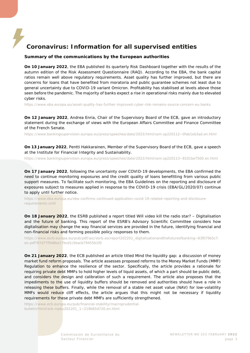## <span id="page-4-0"></span>**Coronavirus: Information for all supervised entities**

#### <span id="page-4-1"></span>**Summary of the communications by the European authorities**

**On 10 January 2022**, the EBA published its quarterly Risk Dashboard together with the results of the autumn edition of the Risk Assessment Questionnaire (RAQ). According to the EBA, the bank capital ratios remain well above regulatory requirements. Asset quality has further improved, but there are concerns for loans that have benefited from moratoria and public guarantee schemes not least due to general uncertainty due to COVID-19 variant Omicron. Profitability has stabilised at levels above those seen before the pandemic. The majority of banks expect a rise in operational risks mainly due to elevated cyber risks.

<https://www.eba.europa.eu/asset-quality-has-further-improved-cyber-risk-remains-source-concern-eu-banks>

**On 12 January 2022**, Andrea Enria, Chair of the Supervisory Board of the ECB, gave an introductory statement during the exchange of views with the European Affairs Committee and Finance Committee of the French Senate.

[https://www.bankingsupervision.europa.eu/press/speeches/date/2022/html/ssm.sp220112~0fab1eb3ad.en.html](https://www.bankingsupervision.europa.eu/press/speeches/date/2022/html/ssm.sp220112%7E0fab1eb3ad.en.html)

**On 13 January 2022**, Pentti Hakkarainen, Member of the Supervisory Board of the ECB, gave a speech at the Institute for Financial Integrity and Sustainability.

[https://www.bankingsupervision.europa.eu/press/speeches/date/2022/html/ssm.sp220113~8101be7500.en.html](https://www.bankingsupervision.europa.eu/press/speeches/date/2022/html/ssm.sp220113%7E8101be7500.en.html)

**On 17 January 2022**, following the uncertainty over COVID-19 developments, the EBA confirmed the need to continue monitoring exposures and the credit quality of loans benefitting from various public support measures. To facilitate such monitoring, the EBA Guidelines on the reporting and disclosure of exposures subject to measures applied in response to the COVID-19 crisis (EBA/GL/2020/07) continue to apply until further notice.

[https://www.eba.europa.eu/eba-confirms-continued-application-covid-19-related-reporting-and-disclosure](https://www.eba.europa.eu/eba-confirms-continued-application-covid-19-related-reporting-and-disclosure-requirements-until)[requirements-until](https://www.eba.europa.eu/eba-confirms-continued-application-covid-19-related-reporting-and-disclosure-requirements-until)

**On 18 January 2022**, the ESRB published a report titled *Will video kill the radio star? – Digitalisation and the future of banking*. This report of the ESRB's Advisory Scientific Committee considers how digitalisation may change the way financial services are provided in the future, identifying financial and non-financial risks and forming possible policy responses to them.

[https://www.esrb.europa.eu/pub/pdf/asc/esrb.ascreport202201\\_digitalisationandthefutureofbanking~83f079b5c7.](https://www.esrb.europa.eu/pub/pdf/asc/esrb.ascreport202201_digitalisationandthefutureofbanking%7E83f079b5c7.en.pdf?87d77f9d8be17bcd1c5bacb79455b1f0) [en.pdf?87d77f9d8be17bcd1c5bacb79455b1f0](https://www.esrb.europa.eu/pub/pdf/asc/esrb.ascreport202201_digitalisationandthefutureofbanking%7E83f079b5c7.en.pdf?87d77f9d8be17bcd1c5bacb79455b1f0)

**On 21 January 2022**, the ECB published an article titled *Mind the liquidity gap: a discussion of money market fund reform proposals*. The article assesses proposed reforms to the Money Market Funds (MMF) Regulation to enhance the resilience of the sector. Specifically, the article provides a rationale for requiring private debt MMFs to hold higher levels of liquid assets, of which a part should be public debt, and considers the design and calibration of such a requirement. The article also proposes that the impediments to the use of liquidity buffers should be removed and authorities should have a role in releasing these buffers. Finally, while the removal of a stable net asset value (NAV) for low-volatility MMFs would reduce cliff effects, the article argues that this might not be necessary if liquidity requirements for these private debt MMFs are sufficiently strengthened.

[https://www.ecb.europa.eu/pub/financial-stability/macroprudential](https://www.ecb.europa.eu/pub/financial-stability/macroprudential-bulletin/html/ecb.mpbu202201_1%7E218b65d720.en.html)[bulletin/html/ecb.mpbu202201\\_1~218b65d720.en.html](https://www.ecb.europa.eu/pub/financial-stability/macroprudential-bulletin/html/ecb.mpbu202201_1%7E218b65d720.en.html)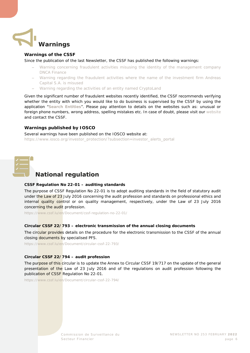<span id="page-5-0"></span>

#### <span id="page-5-1"></span>**Warnings of the CSSF**

Since the publication of the last Newsletter, the CSSF has published the following warnings:

- − [Warning concerning fraudulent activities misusing the identity of the management company](https://www.cssf.lu/en/2022/01/warning-concerning-fraudulent-activities-misusing-the-identity-of-the-management-company-dnca-finance/)  [DNCA Finance](https://www.cssf.lu/en/2022/01/warning-concerning-fraudulent-activities-misusing-the-identity-of-the-management-company-dnca-finance/)
- − [Warning regarding the fraudulent activities where the name of the investment firm Andreas](https://www.cssf.lu/en/2022/02/warning-regarding-the-fraudulent-activities-where-the-name-of-the-investment-firm-andreas-capital-s-a-is-misused/)  [Capital S.A. is misused](https://www.cssf.lu/en/2022/02/warning-regarding-the-fraudulent-activities-where-the-name-of-the-investment-firm-andreas-capital-s-a-is-misused/)
- [Warning regarding the activities of an entity named CryptoLand](https://www.cssf.lu/en/2022/02/warning-regarding-the-activities-of-an-entity-named-cryptoland/)

Given the significant number of fraudulent websites recently identified, the CSSF recommends verifying whether the entity with which you would like to do business is supervised by the CSSF by using the application "**[Search Entities](https://searchentities.apps.cssf.lu/search-entities/search?lng=en)**". Please pay attention to details on the websites such as: unusual or foreign phone numbers, wrong address, spelling mistakes etc. In case of doubt, please visit our [website](https://www.cssf.lu/en/financial-fraud/) and contact the CSSF.

#### <span id="page-5-2"></span>**Warnings published by IOSCO**

Several warnings have been published on the IOSCO website at: [https://www.iosco.org/investor\\_protection/?subsection=investor\\_alerts\\_portal](https://www.iosco.org/investor_protection/?subsection=investor_alerts_portal)

<span id="page-5-3"></span>

## **National regulation**

#### **CSSF Regulation No 22-01 – auditing standards**

The purpose of CSSF Regulation No 22-01 is to adopt auditing standards in the field of statutory audit under the Law of 23 July 2016 concerning the audit profession and standards on professional ethics and internal quality control or on quality management, respectively, under the Law of 23 July 2016 concerning the audit profession.

<https://www.cssf.lu/en/Document/cssf-regulation-no-22-01/>

#### **Circular CSSF 22/793 – electronic transmission of the annual closing documents**

The circular provides details on the procedure for the electronic transmission to the CSSF of the annual closing documents by specialised PFS.

<https://www.cssf.lu/en/Document/circular-cssf-22-793/>

#### **Circular CSSF 22/794 – audit profession**

The purpose of this circular is to update the Annex to Circular CSSF 19/717 on the update of the general presentation of the Law of 23 July 2016 and of the regulations on audit profession following the publication of CSSF Regulation No 22-01.

<https://www.cssf.lu/en/Document/circular-cssf-22-794/>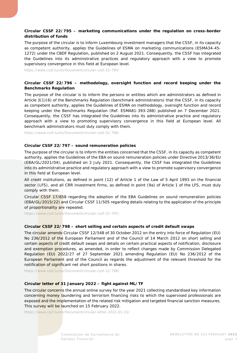#### **Circular CSSF 22/795 – marketing communications under the regulation on cross-border distribution of funds**

The purpose of the circular is to inform Luxembourg investment managers that the CSSF, in its capacity as competent authority, applies the Guidelines of ESMA on marketing communications (ESMA34-45- 1272) under the CBDF Regulation, published on 2 August 2021. Consequently, the CSSF has integrated the Guidelines into its administrative practices and regulatory approach with a view to promote supervisory convergence in this field at European level.

<https://www.cssf.lu/en/Document/circular-cssf-22-795/>

#### **Circular CSSF 22/796 – methodology, oversight function and record keeping under the Benchmarks Regulation**

The purpose of the circular is to inform the persons or entities which are administrators as defined in Article 3(1)(6) of the Benchmarks Regulation (benchmark administrators) that the CSSF, in its capacity as competent authority, applies the Guidelines of ESMA on methodology, oversight function and record keeping under the Benchmarks Regulation (Ref. ESMA81-393-288) published on 7 December 2021. Consequently, the CSSF has integrated the Guidelines into its administrative practice and regulatory approach with a view to promoting supervisory convergence in this field at European level. All benchmark administrators must duly comply with them.

<https://www.cssf.lu/en/Document/circular-cssf-22-796/>

#### **Circular CSSF 22/797 – sound remuneration policies**

The purpose of the circular is to inform the entities concerned that the CSSF, in its capacity as competent authority, applies the Guidelines of the EBA on sound remuneration policies under Directive 2013/36/EU (EBA/GL/2021/04), published on 2 July 2021. Consequently, the CSSF has integrated the Guidelines into its administrative practice and regulatory approach with a view to promote supervisory convergence in this field at European level.

All credit institutions, as defined in point (12) of Article 1 of the Law of 5 April 1993 on the financial sector (LFS), and all CRR investment firms, as defined in point (9a) of Article 1 of the LFS, must duly comply with them.

Circular CSSF 17/658 regarding the adoption of the EBA Guidelines on sound remuneration policies (EBA/GL/2015/22) and Circular CSSF 11/505 regarding details relating to the application of the principle of proportionality are repealed.

<https://www.cssf.lu/en/Document/circular-cssf-22-797/>

#### **Circular CSSF 22/798 – short selling and certain aspects of credit default swaps**

The circular amends Circular CSSF 12/548 of 30 October 2012 on the entry into force of Regulation (EU) No 236/2012 of the European Parliament and of the Council of 14 March 2012 on short selling and certain aspects of credit default swaps and details on certain practical aspects of notification, disclosure and exemption procedures, as amended, in order to reflect changes made by Commission Delegated Regulation (EU) 2022/27 of 27 September 2021 amending Regulation (EU) No 236/2012 of the European Parliament and of the Council as regards the adjustment of the relevant threshold for the notification of significant net short positions in shares.

<https://www.cssf.lu/en/Document/circular-cssf-22-798/>

#### **Circular letter of 31 January 2022 – fight against ML/TF**

The circular concerns the annual online survey for the year 2021 collecting standardised key information concerning money laundering and terrorism financing risks to which the supervised professionals are exposed and the implementation of the related risk mitigation and targeted financial sanction measures. This survey will be launched on 15 February 2022.

<https://www.cssf.lu/en/Document/circular-letter-2022-01-31/>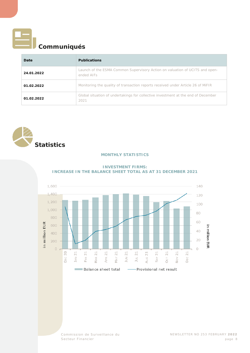<span id="page-7-0"></span>

## **Communiqués**

| Date       | <b>Publications</b>                                                                        |
|------------|--------------------------------------------------------------------------------------------|
| 24.01.2022 | Launch of the ESMA Common Supervisory Action on valuation of UCITS and open-<br>ended AIFs |
| 01.02.2022 | Monitoring the quality of transaction reports received under Article 26 of MIFIR           |
| 01.02.2022 | Global situation of undertakings for collective investment at the end of December<br>2021  |

<span id="page-7-2"></span><span id="page-7-1"></span>

#### **MONTHLY STATISTICS**



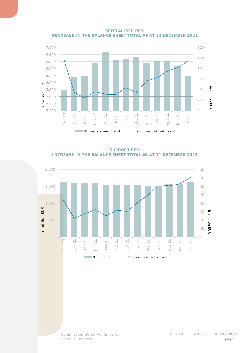

**SPECIALISED PFS: DECREASE IN THE BALANCE SHEET TOTAL AS AT 31 DECEMBER 2021**

**SUPPORT PFS: INCREASE IN THE BALANCE SHEET TOTAL AS AT 31 DECEMBER 2021**

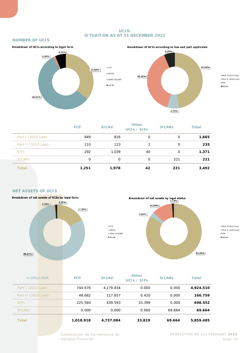#### **UCIS: SITUATION AS AT 31 DECEMBER 2021**

#### **NUMBER OF UCIS**





Part I (2010 Law) Part II (2010 Law)  $IFIS$  $\square$ SICAR

|                    | <b>FCP</b> | <b>SICAV</b> | <b>Other</b><br>UCIS / SIFS | <b>SICARS</b> | <b>Total</b> |
|--------------------|------------|--------------|-----------------------------|---------------|--------------|
| Part I (2010 Law)  | 849        | 816          | 0                           | 0             | 1,665        |
| Part II (2010 Law) | 110        | 123          | 2                           | 0             | 235          |
| <b>SIFS</b>        | 292        | 1,039        | 40                          | 0             | 1,371        |
| <b>SICARS</b>      | 0          | 0            | $\Omega$                    | 221           | 221          |
| <b>Total</b>       | 1,251      | 1,978        | 42                          | 221           | 3,492        |

#### **NET ASSETS OF UCIS**





**Part I** (2010 Law) Part II (2010 Law)  $IFIS$  $\square$  SICAR

| in billion EUR     | <b>FCP</b> | <b>SICAV</b> | <b>Other</b><br>UCIs / SIFs | <b>SICARS</b> | <b>Total</b> |
|--------------------|------------|--------------|-----------------------------|---------------|--------------|
| Part I (2010 Law)  | 744.676    | 4.179.834    | 0.000                       | 0.000         | 4,924.510    |
| Part II (2010 Law) | 48.682     | 117.657      | 0.420                       | 0.000         | 166.759      |
| <b>SIFS</b>        | 225.560    | 439.593      | 33.399                      | 0.000         | 698.552      |
| <b>SICARS</b>      | 0.000      | 0.000        | 0.000                       | 69.664        | 69.664       |
| <b>Total</b>       | 1,018.918  | 4.737.084    | 33.819                      | 69.664        | 5,859.485    |

 $EFCP$ 

 $\equiv$  SICAV

 $\square$  SICAR

Commission de Surveillance du NEWSLETTER NO 253 FEBRUARY **2022**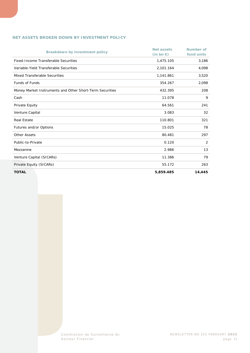#### **NET ASSETS BROKEN DOWN BY INVESTMENT POLICY**

| <b>Breakdown by investment policy</b>                    | <b>Net assets</b><br>$(in bn \in)$ | <b>Number of</b><br>fund units |
|----------------------------------------------------------|------------------------------------|--------------------------------|
| <b>Fixed-Income Transferable Securities</b>              | 1,475.105                          | 3,186                          |
|                                                          |                                    |                                |
| Variable-Yield Transferable Securities                   | 2,101.164                          | 4,098                          |
| Mixed Transferable Securities                            | 1,141.861                          | 3,520                          |
| <b>Funds of Funds</b>                                    | 354.267                            | 2,098                          |
| Money Market Instruments and Other Short-Term Securities | 432.395                            | 208                            |
| Cash                                                     | 11.078                             | 9                              |
| Private Equity                                           | 64.561                             | 241                            |
| Venture Capital                                          | 3.083                              | 32                             |
| <b>Real Estate</b>                                       | 110.801                            | 321                            |
| Futures and/or Options                                   | 15.025                             | 78                             |
| <b>Other Assets</b>                                      | 80.481                             | 297                            |
| Public-to-Private                                        | 0.120                              | 2                              |
| Mezzanine                                                | 2.986                              | 13                             |
| Venture Capital (SICARs)                                 | 11.386                             | 79                             |
| Private Equity (SICARs)                                  | 55.172                             | 263                            |
| <b>TOTAL</b>                                             | 5,859.485                          | 14,445                         |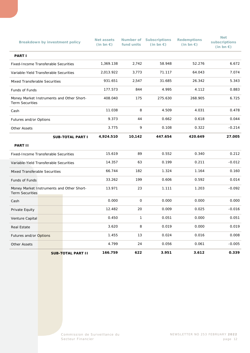| <b>Breakdown by investment policy</b>                               |  |                          | <b>Net assets</b><br>$(in bn \in)$ | fund units   | <b>Number of Subscriptions</b><br>$(in bn \in)$ | <b>Redemptions</b><br>$(in bn \in)$ | <b>Net</b><br>subscriptions<br>(in bn $\epsilon$ ) |
|---------------------------------------------------------------------|--|--------------------------|------------------------------------|--------------|-------------------------------------------------|-------------------------------------|----------------------------------------------------|
| <b>PART I</b>                                                       |  |                          |                                    |              |                                                 |                                     |                                                    |
| Fixed-Income Transferable Securities                                |  |                          | 1,369.138                          | 2,742        | 58.948                                          | 52.276                              | 6.672                                              |
| Variable-Yield Transferable Securities                              |  |                          | 2,013.922                          | 3,773        | 71.117                                          | 64.043                              | 7.074                                              |
| <b>Mixed Transferable Securities</b>                                |  |                          | 931.651                            | 2,547        | 31.685                                          | 26.342                              | 5.343                                              |
| Funds of Funds                                                      |  |                          | 177.573                            | 844          | 4.995                                           | 4.112                               | 0.883                                              |
| Money Market Instruments and Other Short-<br><b>Term Securities</b> |  |                          | 408.040                            | 175          | 275.630                                         | 268.905                             | 6.725                                              |
| Cash                                                                |  |                          | 11.038                             | 8            | 4.509                                           | 4.031                               | 0.478                                              |
| Futures and/or Options                                              |  |                          | 9.373                              | 44           | 0.662                                           | 0.618                               | 0.044                                              |
| <b>Other Assets</b>                                                 |  |                          | 3.775                              | 9            | 0.108                                           | 0.322                               | $-0.214$                                           |
|                                                                     |  | <b>SUB-TOTAL PART I</b>  | 4,924.510                          | 10,142       | 447.654                                         | 420.649                             | 27.005                                             |
| <b>PART II</b>                                                      |  |                          |                                    |              |                                                 |                                     |                                                    |
| Fixed-Income Transferable Securities                                |  |                          | 15.619                             | 89           | 0.552                                           | 0.340                               | 0.212                                              |
| Variable-Yield Transferable Securities                              |  |                          | 14.357                             | 63           | 0.199                                           | 0.211                               | $-0.012$                                           |
| Mixed Transferable Securities                                       |  |                          | 66.744                             | 182          | 1.324                                           | 1.164                               | 0.160                                              |
| Funds of Funds                                                      |  |                          | 33.262                             | 199          | 0.606                                           | 0.592                               | 0.014                                              |
| Money Market Instruments and Other Short-<br><b>Term Securities</b> |  |                          | 13.971                             | 23           | 1.111                                           | 1.203                               | $-0.092$                                           |
| Cash                                                                |  |                          | 0.000                              | $\mathsf O$  | 0.000                                           | 0.000                               | 0.000                                              |
| Private Equity                                                      |  |                          | 12.482                             | 20           | 0.009                                           | 0.025                               | $-0.016$                                           |
| Venture Capital                                                     |  |                          | 0.450                              | $\mathbf{1}$ | 0.051                                           | 0.000                               | 0.051                                              |
| <b>Real Estate</b>                                                  |  |                          | 3.620                              | 8            | 0.019                                           | 0.000                               | 0.019                                              |
| Futures and/or Options                                              |  |                          | 1.455                              | 13           | 0.024                                           | 0.016                               | 0.008                                              |
| <b>Other Assets</b>                                                 |  |                          | 4.799                              | 24           | 0.056                                           | 0.061                               | $-0.005$                                           |
|                                                                     |  | <b>SUB-TOTAL PART II</b> | 166.759                            | 622          | 3.951                                           | 3.612                               | 0.339                                              |

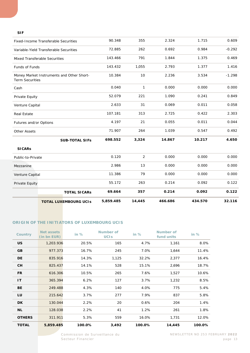#### **SIF**

|                                        | <b>TOTAL LUXEMBOURG UCIS</b>              | 5,859.485 | 14,445     | 466.686 | 434.570 | 32.116   |
|----------------------------------------|-------------------------------------------|-----------|------------|---------|---------|----------|
|                                        | <b>TOTAL SICARS</b>                       | 69.664    | 357        | 0.214   | 0.092   | 0.122    |
|                                        |                                           | 55.172    | 263        | 0.214   | 0.092   | 0.122    |
|                                        |                                           | 11.386    | 79         | 0.000   | 0.000   | 0.000    |
| Mezzanine                              |                                           |           | 13         | 0.000   | 0.000   | 0.000    |
|                                        |                                           | 0.120     | $\sqrt{2}$ | 0.000   | 0.000   | 0.000    |
|                                        |                                           |           |            |         |         |          |
|                                        | <b>SUB-TOTAL SIFs</b>                     | 698.552   | 3,324      | 14.867  | 10.217  | 4.650    |
| <b>Other Assets</b>                    |                                           |           | 264        | 1.039   | 0.547   | 0.492    |
| Futures and/or Options                 |                                           |           | 21         | 0.055   | 0.011   | 0.044    |
| <b>Real Estate</b>                     |                                           |           | 313        | 2.725   | 0.422   | 2.303    |
| Venture Capital                        |                                           | 2.633     | 31         | 0.069   | 0.011   | 0.058    |
|                                        |                                           | 52.079    | 221        | 1.090   | 0.241   | 0.849    |
|                                        |                                           | 0.040     | 1          | 0.000   | 0.000   | 0.000    |
|                                        | Money Market Instruments and Other Short- | 10.384    | 10         | 2.236   | 3.534   | $-1.298$ |
|                                        |                                           | 143.432   | 1,055      | 2.793   | 1.377   | 1.416    |
| <b>Mixed Transferable Securities</b>   |                                           | 143.466   | 791        | 1.844   | 1.375   | 0.469    |
| Variable-Yield Transferable Securities |                                           | 72.885    | 262        | 0.692   | 0.984   | $-0.292$ |
|                                        | Fixed-Income Transferable Securities      | 90.348    | 355        | 2.324   | 1.715   | 0.609    |
|                                        |                                           |           |            |         |         |          |

#### **ORIGIN OF THE INITIATORS OF LUXEMBOURG UCIS**

| <b>Country</b> | Net assets<br>(in bn EUR) | in $%$ | Number of<br><b>UCIS</b> | in $%$ | Number of<br>fund units | in $%$ |
|----------------|---------------------------|--------|--------------------------|--------|-------------------------|--------|
| <b>US</b>      | 1,203.936                 | 20.5%  | 165                      | 4.7%   | 1,161                   | 8.0%   |
| GB             | 977.373                   | 16.7%  | 245                      | 7.0%   | 1,644                   | 11.4%  |
| <b>DE</b>      | 835.916                   | 14.3%  | 1,125                    | 32.2%  | 2,377                   | 16.4%  |
| <b>CH</b>      | 825.437                   | 14.1%  | 528                      | 15.1%  | 2,696                   | 18.7%  |
| <b>FR</b>      | 616.306                   | 10.5%  | 265                      | 7.6%   | 1,527                   | 10.6%  |
| IT             | 365.394                   | 6.2%   | 127                      | 3.7%   | 1,232                   | 8.5%   |
| <b>BE</b>      | 249.488                   | 4.3%   | 140                      | 4.0%   | 775                     | 5.4%   |
| LU             | 215.642                   | 3.7%   | 277                      | 7.9%   | 837                     | 5.8%   |
| <b>DK</b>      | 130.044                   | 2.2%   | 20                       | 0.6%   | 204                     | 1.4%   |
| NL.            | 128.038                   | 2.2%   | 41                       | 1.2%   | 261                     | 1.8%   |
| <b>OTHERS</b>  | 311.911                   | 5.3%   | 559                      | 16.0%  | 1,731                   | 12.0%  |
| <b>TOTAL</b>   | 5,859.485                 | 100.0% | 3,492                    | 100.0% | 14,445                  | 100.0% |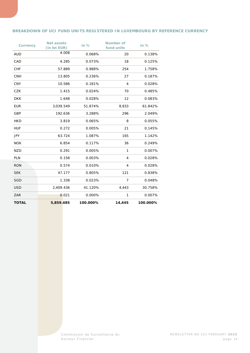#### **BREAKDOWN OF UCI FUND UNITS REGISTERED IN LUXEMBOURG BY REFERENCE CURRENCY**

| <b>Currency</b> | <b>Net assets</b><br>(in bn EUR) | in $%$   | <b>Number of</b><br>fund units | in $%$   |
|-----------------|----------------------------------|----------|--------------------------------|----------|
| <b>AUD</b>      | 4.008                            | 0.068%   | 20                             | 0.138%   |
| CAD             | 4.285                            | 0.073%   | 18                             | 0.125%   |
| <b>CHF</b>      | 57.889                           | 0.988%   | 254                            | 1.758%   |
| <b>CNH</b>      | 13.805                           | 0.236%   | 27                             | 0.187%   |
| <b>CNY</b>      | 10.586                           | 0.181%   | $\overline{4}$                 | 0.028%   |
| <b>CZK</b>      | 1.415                            | 0.024%   | 70                             | 0.485%   |
| <b>DKK</b>      | 1.648                            | 0.028%   | 12                             | 0.083%   |
| <b>EUR</b>      | 3,039.549                        | 51.874%  | 8,933                          | 61.842%  |
| GBP             | 192.636                          | 3.288%   | 296                            | 2.049%   |
| <b>HKD</b>      | 3.819                            | 0.065%   | 8                              | 0.055%   |
| <b>HUF</b>      | 0.272                            | 0.005%   | 21                             | 0.145%   |
| <b>JPY</b>      | 63.724                           | 1.087%   | 165                            | 1.142%   |
| <b>NOK</b>      | 6.854                            | 0.117%   | 36                             | 0.249%   |
| <b>NZD</b>      | 0.291                            | 0.005%   | 1                              | 0.007%   |
| <b>PLN</b>      | 0.158                            | 0.003%   | 4                              | 0.028%   |
| <b>RON</b>      | 0.574                            | 0.010%   | 4                              | 0.028%   |
| <b>SEK</b>      | 47.177                           | 0.805%   | 121                            | 0.838%   |
| <b>SGD</b>      | 1.338                            | 0.023%   | $\overline{7}$                 | 0.048%   |
| <b>USD</b>      | 2,409.436                        | 41.120%  | 4,443                          | 30.758%  |
| ZAR             | 0.021                            | 0.000%   | 1                              | 0.007%   |
| <b>TOTAL</b>    | 5,859.485                        | 100.000% | 14,445                         | 100.000% |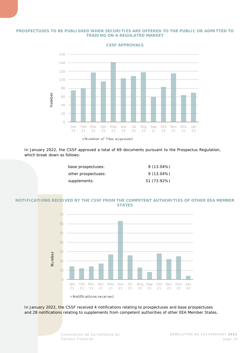#### **PROSPECTUSES TO BE PUBLISHED WHEN SECURITIES ARE OFFERED TO THE PUBLIC OR ADMITTED TO TRADING ON A REGULATED MARKET**



**CSSF APPROVALS**

In January 2022, the CSSF approved a total of 69 documents pursuant to the Prospectus Regulation, which break down as follows:

| base prospectuses:  | $9(13.04\%)$ |
|---------------------|--------------|
| other prospectuses: | $9(13.04\%)$ |
| supplements:        | 51 (73.92%)  |

#### **NOTIFICATIONS RECEIVED BY THE CSSF FROM THE COMPETENT AUTHORITIES OF OTHER EEA MEMBER STATES**



In January 2022, the CSSF received 4 notifications relating to prospectuses and base prospectuses and 28 notifications relating to supplements from competent authorities of other EEA Member States.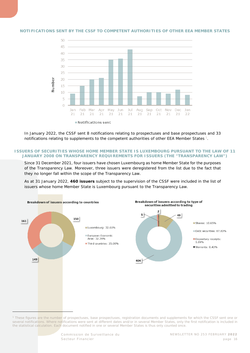#### **NOTIFICATIONS SENT BY THE CSSF TO COMPETENT AUTHORITIES OF OTHER EEA MEMBER STATES**



In January 2022, the CSSF sent 8 notifications relating to prospectuses and base prospectuses and 33 notifications relating to supplements to the competent authorities of other EEA Member States [1](#page-15-0).

#### **ISSUERS OF SECURITIES WHOSE HOME MEMBER STATE IS LUXEMBOURG PURSUANT TO THE LAW OF 11 JANUARY 2008 ON TRANSPARENCY REQUIREMENTS FOR ISSUERS (THE "TRANSPARENCY LAW")**

Since 31 December 2021, four issuers have chosen Luxembourg as home Member State for the purposes of the Transparency Law. Moreover, three issuers were deregistered from the list due to the fact that they no longer fall within the scope of the Transparency Law.

As at 31 January 2022, **460 issuers** subject to the supervision of the CSSF were included in the list of issuers whose home Member State is Luxembourg pursuant to the Transparency Law.



<span id="page-15-0"></span>*<sup>1</sup> These figures are the number of prospectuses, base prospectuses, registration documents and supplements for which the CSSF sent one or several notifications. Where notifications were sent at different dates and/or in several Member States, only the first notification is included in the statistical calculation. Each document notified in one or several Member States is thus only counted once.*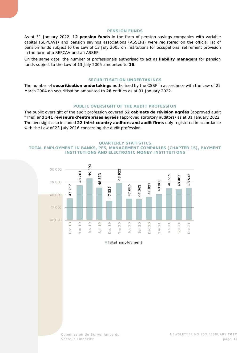#### **PENSION FUNDS**

As at 31 January 2022, **12 pension funds** in the form of pension savings companies with variable capital (SEPCAVs) and pension savings associations (ASSEPs) were registered on the official list of pension funds subject to the Law of 13 July 2005 on institutions for occupational retirement provision in the form of a SEPCAV and an ASSEP.

On the same date, the number of professionals authorised to act as **liability managers** for pension funds subject to the Law of 13 July 2005 amounted to **16**.

#### **SECURITISATION UNDERTAKINGS**

The number of **securitisation undertakings** authorised by the CSSF in accordance with the Law of 22 March 2004 on securitisation amounted to **28** entities as at 31 January 2022.

#### **PUBLIC OVERSIGHT OF THE AUDIT PROFESSION**

The public oversight of the audit profession covered **52** *cabinets de révision agréés* (approved audit firms) and **341** *réviseurs d'entreprises agréés* (approved statutory auditors) as at 31 January 2022. The oversight also included **22 third-country auditors and audit firms** duly registered in accordance with the Law of 23 July 2016 concerning the audit profession.

#### **QUARTERLY STATISTICS**

<span id="page-16-0"></span>**TOTAL EMPLOYMENT IN BANKS, PFS, MANAGEMENT COMPANIES (CHAPTER 15), PAYMENT INSTITUTIONS AND ELECTRONIC MONEY INSTITUTIONS**



Total employment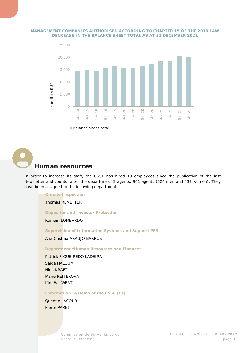#### **MANAGEMENT COMPANIES AUTHORISED ACCORDING TO CHAPTER 15 OF THE 2010 LAW DECREASE IN THE BALANCE SHEET TOTAL AS AT 31 DECEMBER 2021**



<span id="page-17-0"></span>**Human resources**

In order to increase its staff, the CSSF has hired 10 employees since the publication of the last Newsletter and counts, after the departure of 2 agents, 961 agents (524 men and 437 women). They have been assigned to the following departments:

#### **On-site Inspection**

Thomas REMETTER

**Depositor and Investor Protection**

Romain LOMBARDO

**Supervision of Information Systems and Support PFS**

Ana Cristina ARAUJO BARROS

**Department "Human Resources and Finance"**

Patrick FIGUEIREDO LADEIRA Saïda HALOUM Nina KRAFT Marie REITEROVA Kim WILWERT

**Information Systems of the CSSF (IT)**

Quentin LACOUR Pierre PARET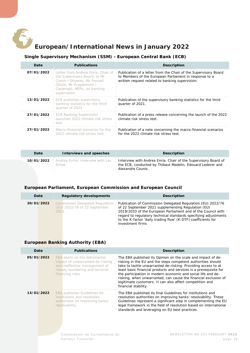<span id="page-18-0"></span>

## **European/International News in January 2022**

#### **Single Supervisory Mechanism (SSM) - European Central Bank (ECB)**

<span id="page-18-1"></span>

| Date       | <b>Publications</b>                                                                                                                                                        | <b>Description</b>                                                                                                                                                           |
|------------|----------------------------------------------------------------------------------------------------------------------------------------------------------------------------|------------------------------------------------------------------------------------------------------------------------------------------------------------------------------|
| 07/01/2022 | Letter from Andrea Enria, Chair of<br>the Supervisory Board, to Mr<br>Comín i Oliveres, Ms Ponsatí<br>Obiols, Mr Puigdemont i<br>Casamajó, MEPs, on banking<br>supervision | Publication of a letter from the Chair of the Supervisory Board<br>to Members of the European Parliament in response to a<br>written request related to banking supervision. |
| 12/01/2022 | ECB publishes supervisory<br>banking statistics for the third<br>quarter of 2021                                                                                           | Publication of the supervisory banking statistics for the third<br>quarter of 2021.                                                                                          |
| 27/01/2022 | <b>ECB Banking Supervision</b><br>launches 2022 climate risk stress<br>test                                                                                                | Publication of a press release concerning the launch of the 2022<br>climate risk stress test.                                                                                |
| 27/01/2022 | Macro-financial scenarios for the<br>2022 climate risk stress test                                                                                                         | Publication of a note concerning the macro-financial scenarios<br>for the 2022 climate risk stress test.                                                                     |

| Date       | Interviews and speeches                   | Description                                                                                                                                       |
|------------|-------------------------------------------|---------------------------------------------------------------------------------------------------------------------------------------------------|
| 10/01/2022 | Andrea Enria: Interview with Les<br>Échos | Interview with Andrea Enria, Chair of the Supervisory Board of<br>the ECB, conducted by Thibaut Madelin, Edouard Lederer and<br>Alexandre Counis. |

#### <span id="page-18-2"></span>**European Parliament, European Commission and European Council**

| Date       | <b>Regulatory developments</b>                                                 | <b>Description</b>                                                                                                                                                                                                                                                                                                                        |
|------------|--------------------------------------------------------------------------------|-------------------------------------------------------------------------------------------------------------------------------------------------------------------------------------------------------------------------------------------------------------------------------------------------------------------------------------------|
| 20/01/2022 | <b>Commission Delegated Regulation</b><br>(EU) 2022/76 of 22 September<br>2021 | Publication of Commission Delegated Regulation (EU) 2022/76<br>of 22 September 2021 supplementing Regulation (EU)<br>2019/2033 of the European Parliament and of the Council with<br>regard to regulatory technical standards specifying adjustments<br>to the K-factor 'daily trading flow' (K-DTF) coefficients for<br>investment firms |

#### <span id="page-18-3"></span>**European Banking Authority (EBA)**

| Date       | <b>Publications</b>                                                                                                                                     | <b>Description</b>                                                                                                                                                                                                                                                                                                                                                                                                                                                                        |
|------------|---------------------------------------------------------------------------------------------------------------------------------------------------------|-------------------------------------------------------------------------------------------------------------------------------------------------------------------------------------------------------------------------------------------------------------------------------------------------------------------------------------------------------------------------------------------------------------------------------------------------------------------------------------------|
| 05/01/2022 | EBA alerts on the detrimental<br>impact of unwarranted de-risking<br>and ineffective management of<br>money laundering and terrorist<br>financing risks | The EBA published its Opinion on the scale and impact of de-<br>risking in the EU and the steps competent authorities should<br>take to tackle unwarranted de-risking. Providing access to at<br>least basic financial products and services is a prerequisite for<br>the participation in modern economic and social life and de-<br>risking, when unwarranted, can cause the financial exclusion of<br>legitimate customers. It can also affect competition and<br>financial stability. |
| 13/01/2022 | <b>EBA publishes Guidelines for</b><br>institutions and resolution<br>authorities on improving banks'<br>resolvability                                  | The EBA published its final Guidelines for institutions and<br>resolution authorities on improving banks' resolvability. These<br>Guidelines represent a significant step in complementing the EU<br>legal framework in the field of resolution based on international<br>standards and leveraging on EU best practices.                                                                                                                                                                  |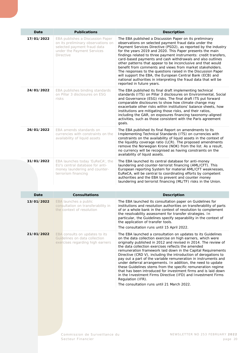| Date       | <b>Publications</b>                                                                                                                                     | <b>Description</b>                                                                                                                                                                                                                                                                                                                                                                                                                                                                                                                                                                                                                                                                                                                            |
|------------|---------------------------------------------------------------------------------------------------------------------------------------------------------|-----------------------------------------------------------------------------------------------------------------------------------------------------------------------------------------------------------------------------------------------------------------------------------------------------------------------------------------------------------------------------------------------------------------------------------------------------------------------------------------------------------------------------------------------------------------------------------------------------------------------------------------------------------------------------------------------------------------------------------------------|
| 17/01/2022 | EBA publishes a Discussion Paper<br>on its preliminary observations on<br>selected payment fraud data<br>under the Payment Services<br><b>Directive</b> | The EBA published a Discussion Paper on its preliminary<br>observations on selected payment fraud data under the<br>Payment Services Directive (PSD2), as reported by the industry<br>for the years 2019 and 2020. This Paper presents the main<br>findings related to three payment instruments: credit transfers,<br>card-based payments and cash withdrawals and also outlines<br>other patterns that appear to be inconclusive and that would<br>benefit from comments and views from market stakeholders.<br>The responses to the questions raised in the Discussion Paper<br>will support the EBA, the European Central Bank (ECB) and<br>national authorities in interpreting the fraud data that will be<br>reported in future years. |
| 24/01/2022 | EBA publishes binding standards<br>on Pillar 3 disclosures on ESG<br>risks                                                                              | The EBA published its final draft implementing technical<br>standards (ITS) on Pillar 3 disclosures on Environmental, Social<br>and Governance (ESG) risks. The final draft ITS put forward<br>comparable disclosures to show how climate change may<br>exacerbate other risks within institutions' balance sheets, how<br>institutions are mitigating those risks, and their ratios,<br>including the GAR, on exposures financing taxonomy-aligned<br>activities, such as those consistent with the Paris agreement<br>goals.                                                                                                                                                                                                                |
| 26/01/2022 | EBA amends standards on<br>currencies with constraints on the<br>availability of liquid assets                                                          | The EBA published its final Report on amendments to its<br>Implementing Technical Standards (ITS) on currencies with<br>constraints on the availability of liquid assets in the context of<br>the liquidity coverage ratio (LCR). The proposed amendments<br>remove the Norwegian Krone (NOK) from the list. As a result,<br>no currency will be recognised as having constraints on the<br>availability of liquid assets.                                                                                                                                                                                                                                                                                                                    |
| 31/01/2022 | EBA launches today 'EuReCA', the<br>EU's central database for anti-<br>money laundering and counter-<br>terrorism financing                             | The EBA launched its central database for anti-money<br>laundering and counter-terrorist financing (AML/CFT). This<br>European reporting System for material AML/CFT weaknesses,<br>EuReCA, will be central to coordinating efforts by competent<br>authorities and the EBA to prevent and counter money<br>laundering and terrorist financing (ML/TF) risks in the Union.                                                                                                                                                                                                                                                                                                                                                                    |

| Date       | <b>Consultations</b>                                                                                | <b>Description</b>                                                                                                                                                                                                                                                                                                                                                                                                                                                                                                                                                                                                                                                                                                                                                                             |
|------------|-----------------------------------------------------------------------------------------------------|------------------------------------------------------------------------------------------------------------------------------------------------------------------------------------------------------------------------------------------------------------------------------------------------------------------------------------------------------------------------------------------------------------------------------------------------------------------------------------------------------------------------------------------------------------------------------------------------------------------------------------------------------------------------------------------------------------------------------------------------------------------------------------------------|
| 13/01/2022 | EBA launches a public<br>consultation on transferability in<br>the context of resolution            | The EBA launched its consultation paper on Guidelines for<br>institutions and resolution authorities on transferability of parts<br>of or a whole bank in the context of resolution to complement<br>the resolvability assessment for transfer strategies. In<br>particular, the Guidelines specify separability in the context of<br>the application of transfer tools.<br>The consultation runs until 15 April 2022.                                                                                                                                                                                                                                                                                                                                                                         |
| 21/01/2022 | EBA consults on updates to its<br>Guidelines on data collection<br>exercises regarding high earners | The EBA launched a consultation on updates to its Guidelines<br>on the data collection exercise on high earners, which were<br>originally published in 2012 and revised in 2014. The review of<br>the data collection exercises reflects the amended<br>remuneration framework laid down in the Capital Requirements<br>Directive (CRD V), including the introduction of derogations to<br>pay out a part of the variable remuneration in instruments and<br>under deferral arrangements. In addition, the need to update<br>these Guidelines stems from the specific remuneration regime<br>that has been introduced for investment firms and is laid down<br>in the Investment Firms Directive (IFD) and Investment Firms<br>Regulation (IFR).<br>The consultation runs until 21 March 2022. |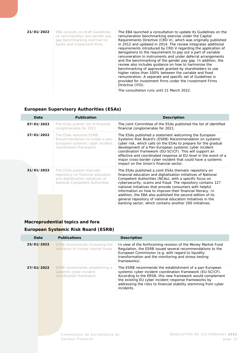| 21/01/2022 | <b>EBA consults on draft Guidelines</b><br>on remuneration and gender pay<br>gap benchmarking exercise for<br>banks and investment firms | The EBA launched a consultation to update its Guidelines on the<br>remuneration benchmarking exercise under the Capital<br>Requirements Directive (CRD V), which was originally published<br>in 2012 and updated in 2014. The review integrates additional<br>requirements introduced by CRD V regarding the application of<br>derogations to the requirement to pay out a part of variable<br>remuneration in instruments and under deferral arrangements<br>and the benchmarking of the gender pay gap. In addition, the<br>review also includes guidance on how to harmonise the<br>benchmarking of approvals granted by shareholders to use<br>higher ratios than 100% between the variable and fixed<br>remuneration. A separate and specific set of Guidelines is<br>provided for investment firms under the Investment Firms<br>Directive (IFD). |
|------------|------------------------------------------------------------------------------------------------------------------------------------------|---------------------------------------------------------------------------------------------------------------------------------------------------------------------------------------------------------------------------------------------------------------------------------------------------------------------------------------------------------------------------------------------------------------------------------------------------------------------------------------------------------------------------------------------------------------------------------------------------------------------------------------------------------------------------------------------------------------------------------------------------------------------------------------------------------------------------------------------------------|
|            |                                                                                                                                          | The consultation runs until 21 March 2022.                                                                                                                                                                                                                                                                                                                                                                                                                                                                                                                                                                                                                                                                                                                                                                                                              |

#### **European Supervisory Authorities (ESAs)**

<span id="page-20-0"></span>

| Date       | <b>Publication</b>                                                                                                                    | <b>Description</b>                                                                                                                                                                                                                                                                                                                                                                                                                                                                                                                                                  |  |
|------------|---------------------------------------------------------------------------------------------------------------------------------------|---------------------------------------------------------------------------------------------------------------------------------------------------------------------------------------------------------------------------------------------------------------------------------------------------------------------------------------------------------------------------------------------------------------------------------------------------------------------------------------------------------------------------------------------------------------------|--|
| 07/01/2022 | The ESAs publish list of financial<br>conglomerates for 2021                                                                          | The Joint Committee of the ESAs published the list of identified<br>financial conglomerates for 2021.                                                                                                                                                                                                                                                                                                                                                                                                                                                               |  |
| 27/01/2022 | The ESAs welcome ESRB<br>Recommendation to create a pan-<br>European systemic cyber incident<br>coordination framework                | The ESAs published a statement welcoming the European<br>Systemic Risk Board's (ESRB) Recommendation on systemic<br>cyber risk, which calls on the ESAs to prepare for the gradual<br>development of a Pan-European systemic cyber incident<br>coordination framework (EU-SCICF). This will support an<br>effective and coordinated response at EU-level in the event of a<br>major cross-border cyber incident that could have a systemic<br>impact on the Union's financial sector.                                                                               |  |
| 31/01/2022 | The ESAs publish thematic<br>repository on financial education<br>and digitalisation initiatives of<br>National Competent Authorities | The ESAs published a Joint ESAs thematic repository on<br>financial education and digitalisation initiatives of National<br>Competent Authorities (NCAs), with a specific focus on<br>cybersecurity, scams and fraud. The repository contains 127<br>national initiatives that provide consumers with helpful<br>information on how to improve their financial literacy. In<br>addition, the EBA also published the second edition of its<br>general repository of national education initiatives in the<br>banking sector, which contains another 200 initiatives. |  |

### <span id="page-20-1"></span>**Macroprudential topics and fora**

#### **European Systemic Risk Board (ESRB)**

| Date       | <b>Publications</b>                                                                 | <b>Description</b>                                                                                                                                                                                                                                                                                                            |
|------------|-------------------------------------------------------------------------------------|-------------------------------------------------------------------------------------------------------------------------------------------------------------------------------------------------------------------------------------------------------------------------------------------------------------------------------|
| 25/01/2022 | ESRB recommends increasing the<br>resilience of money market funds                  | In view of the forthcoming revision of the Money Market Fund<br>Regulation, the ESRB issued several recommendations to the<br>European Commission (e.g. with regard to liquidity<br>transformation and the monitoring and stress-testing<br>frameworks).                                                                      |
| 27/01/2022 | ESRB recommends establishing a<br>systemic cyber incident<br>coordination framework | The ESRB recommends the establishment of a pan-European<br>systemic cyber incident coordination framework (EU-SCICF).<br>According to the ERSB, this new framework would complement<br>the existing EU cyber incident response frameworks by<br>addressing the risks to financial stability stemming from cyber<br>incidents. |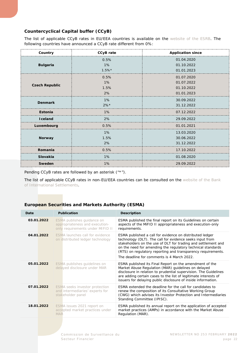#### **Countercyclical Capital buffer (CCyB)**

The list of applicable CCyB rates in EU/EEA countries is available on the [website of the ESRB.](https://www.esrb.europa.eu/national_policy/ccb/all_rates/html/index.en.html) The following countries have announced a CCyB rate different from 0%:

| Country               | <b>CCyB</b> rate | <b>Application since</b> |
|-----------------------|------------------|--------------------------|
|                       | 0.5%             | 01.04.2020               |
| <b>Bulgaria</b>       | 1%               | 01.10.2022               |
|                       | $1.5\%*$         | 01.01.2023               |
|                       | 0.5%             | 01.07.2020               |
|                       | 1%               | 01.07.2022               |
| <b>Czech Republic</b> | 1.5%             | 01.10.2022               |
|                       | 2%               | 01.01.2023               |
|                       | $1\%$            | 30.09.2022               |
| <b>Denmark</b>        | $2%$ *           | 31.12.2022               |
| Estonia               | 1%               | 07.12.2022               |
| <b>I</b> celand       | 2%               | 29.09.2022               |
| Luxembourg            | 0.5%             | 01.01.2021               |
|                       | 1%               | 13.03.2020               |
| <b>Norway</b>         | 1.5%             | 30.06.2022               |
|                       | 2%               | 31.12.2022               |
| Romania               | 0.5%             | 17.10.2022               |
| Slovakia              | 1%               | 01.08.2020               |
| Sweden                | 1%               | 29.09.2022               |

Pending CCyB rates are followed by an asterisk ("\*").

The list of applicable CCyB rates in non-EU/EEA countries can be consulted on the website of the Bank [of International Settlements.](https://www.bis.org/bcbs/ccyb/)

#### **European Securities and Markets Authority (ESMA)**

<span id="page-21-0"></span>

| Date       | <b>Publication</b>                                                                               | <b>Description</b>                                                                                                                                                                                                                                                                                                                                                 |
|------------|--------------------------------------------------------------------------------------------------|--------------------------------------------------------------------------------------------------------------------------------------------------------------------------------------------------------------------------------------------------------------------------------------------------------------------------------------------------------------------|
| 03.01.2022 | ESMA publishes quidance on<br>appropriateness and execution-<br>only requirements under MIFID II | ESMA published the final report on its Guidelines on certain<br>aspects of the MiFID II appropriateness and execution-only<br>requirements.                                                                                                                                                                                                                        |
| 04.01.2022 | ESMA launches call for evidence<br>on distributed ledger technology                              | ESMA published a call for evidence on distributed ledger<br>technology (DLT). The call for evidence seeks input from<br>stakeholders on the use of DLT for trading and settlement and<br>on the need for amending the regulatory technical standards<br>(RTS) on regulatory reporting and transparency requirements.<br>The deadline for comments is 4 March 2022. |
| 05.01.2022 | ESMA publishes quidelines on<br>delayed disclosure under MAR                                     | ESMA published its Final Report on the amendment of the<br>Market Abuse Regulation (MAR) guidelines on delayed<br>disclosure in relation to prudential supervision. The Guidelines<br>are adding certain cases to the list of legitimate interests of<br>issuers for delaying public disclosure of inside information.                                             |
| 07.01.2022 | ESMA seeks investor protection<br>and intermediaries' experts for<br>stakeholder panel           | ESMA extended the deadline for the call for candidates to<br>renew the composition of its Consultative Working Group<br>(CWG) which advises its Investor Protection and Intermediaries<br>Standing Committee (IPISC).                                                                                                                                              |
| 18.01.2022 | ESMA issues 2021 report on<br>accepted market practices under<br><b>MAR</b>                      | ESMA published its annual report on the application of accepted<br>market practices (AMPs) in accordance with the Market Abuse<br>Regulation (MAR).                                                                                                                                                                                                                |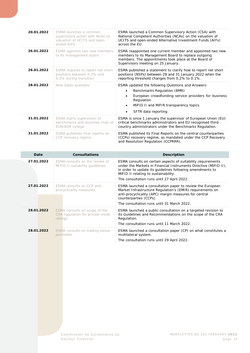| 20.01.2022 | ESMA launches a common<br>supervisory action with NCAs on<br>valuation of UCITS and open-<br>ended AIFS | ESMA launched a Common Supervisory Action (CSA) with<br>National Competent Authorities (NCAs) on the valuation of<br>UCITS and open-ended Alternative Investment Funds (AIFs)<br>across the EU.                                                                |
|------------|---------------------------------------------------------------------------------------------------------|----------------------------------------------------------------------------------------------------------------------------------------------------------------------------------------------------------------------------------------------------------------|
| 26.01.2022 | ESMA appoints two new members<br>to its management board                                                | ESMA reappointed one current member and appointed two new<br>members to its Management Board to replace outgoing<br>members. The appointments took place at the Board of<br>Supervisors meeting on 25 January.                                                 |
| 26.01.2022 | ESMA requires to report net short<br>positions between 0.1% and<br>0.2% during transition               | ESMA published a statement to clarify how to report net short<br>positions (NSPs) between 28 and 31 January 2022 when the<br>reporting threshold changes from 0.2% to 0.1%.                                                                                    |
| 28.01.2022 | New O&As available                                                                                      | ESMA updated the following Questions and Answers:<br>Benchmarks Regulation (BMR)<br>$\bullet$<br>European crowdfunding service providers for business<br>Regulation<br>MIFID II and MIFIR transparency topics<br>$\bullet$<br>SFTR data reporting<br>$\bullet$ |
| 31.01.2022 | ESMA starts supervision of<br>benchmarks and assumes chair of<br><b>EURIBOR</b> college                 | ESMA is since 1 January the supervisor of European Union (EU)<br>critical benchmarks administrators and EU recognised third-<br>country administrators under the Benchmarks Regulation.                                                                        |
| 31.01.2022 | ESMA publishes final reports on<br>CCP recovery regime                                                  | ESMA published its Final Reports on the central counterparties<br>(CCPs) recovery regime, as mandated under the CCP Recovery<br>and Resolution Regulation (CCPRRR).                                                                                            |

| Date       | <b>Consultations</b>                                                          | <b>Description</b>                                                                                                                                                                                                                                                                  |
|------------|-------------------------------------------------------------------------------|-------------------------------------------------------------------------------------------------------------------------------------------------------------------------------------------------------------------------------------------------------------------------------------|
| 27.01.2022 | ESMA consults on the review of<br>MIFID II suitability quidelines             | ESMA consults on certain aspects of suitability requirements<br>under the Markets in Financial Instruments Directive (MiFID II),<br>in order to update its guidelines following amendments to<br>MiFID II relating to sustainability.<br>The consultation runs until 27 April 2022. |
| 27.01.2022 | ESMA consults on CCP anti-<br>procyclicality measures                         | ESMA launched a consultation paper to review the European<br>Market Infrastructure Regulation's (EMIR) requirements on<br>anti-procyclicality (APC) margin measures for central<br>counterparties (CCPs).<br>The consultation runs until 31 March 2022.                             |
| 28.01.2022 | ESMA consults on scope of the<br>CRA regulation for private credit<br>ratings | ESMA launched a public consultation on a targeted revision to<br>its Guidelines and Recommendations on the scope of the CRA<br>Regulation.<br>The consultation runs until 11 March 2022.                                                                                            |
| 28.01.2022 | ESMA consults on trading venue<br>perimeter                                   | ESMA launched a consultation paper (CP) on what constitutes a<br>multilateral system.<br>The consultation runs until 29 April 2022.                                                                                                                                                 |